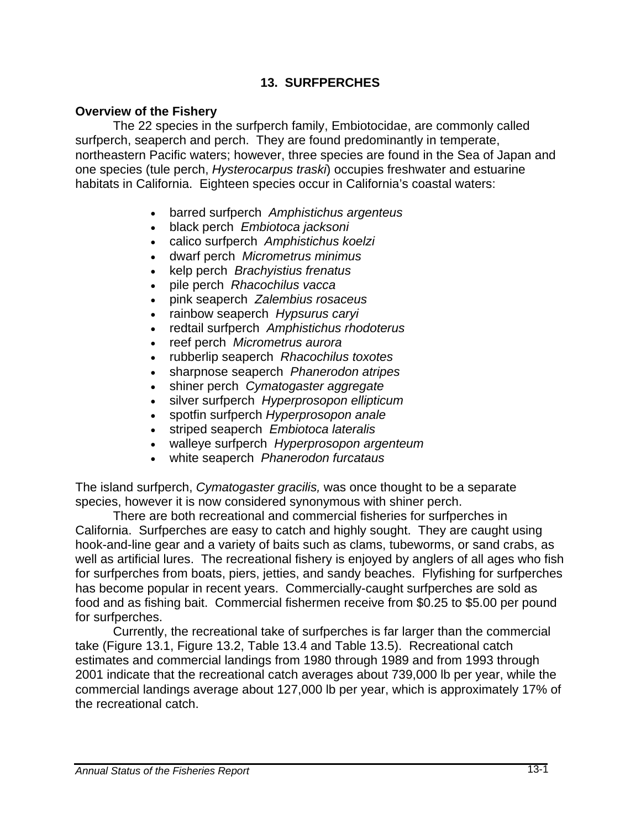## **13. SURFPERCHES**

### **Overview of the Fishery**

The 22 species in the surfperch family, Embiotocidae, are commonly called surfperch, seaperch and perch. They are found predominantly in temperate, northeastern Pacific waters; however, three species are found in the Sea of Japan and one species (tule perch, *Hysterocarpus traski*) occupies freshwater and estuarine habitats in California. Eighteen species occur in California's coastal waters:

- barred surfperch *Amphistichus argenteus*
- black perch *Embiotoca jacksoni*
- calico surfperch *Amphistichus koelzi*
- dwarf perch *Micrometrus minimus*
- kelp perch *Brachyistius frenatus*
- pile perch *Rhacochilus vacca*
- pink seaperch *Zalembius rosaceus*
- rainbow seaperch *Hypsurus caryi*
- redtail surfperch *Amphistichus rhodoterus*
- reef perch *Micrometrus aurora*
- rubberlip seaperch *Rhacochilus toxotes*
- sharpnose seaperch *Phanerodon atripes*
- shiner perch *Cymatogaster aggregate*
- silver surfperch *Hyperprosopon ellipticum*
- spotfin surfperch *Hyperprosopon anale*
- striped seaperch *Embiotoca lateralis*
- walleye surfperch *Hyperprosopon argenteum*
- white seaperch *Phanerodon furcataus*

The island surfperch, *Cymatogaster gracilis,* was once thought to be a separate species, however it is now considered synonymous with shiner perch.

There are both recreational and commercial fisheries for surfperches in California. Surfperches are easy to catch and highly sought. They are caught using hook-and-line gear and a variety of baits such as clams, tubeworms, or sand crabs, as well as artificial lures. The recreational fishery is enjoyed by anglers of all ages who fish for surfperches from boats, piers, jetties, and sandy beaches.Flyfishing for surfperches has become popular in recent years. Commercially-caught surfperches are sold as food and as fishing bait. Commercial fishermen receive from \$0.25 to \$5.00 per pound for surfperches.

Currently, the recreational take of surfperches is far larger than the commercial take (Figure 13.1, Figure 13.2, Table 13.4 and Table 13.5). Recreational catch estimates and commercial landings from 1980 through 1989 and from 1993 through 2001 indicate that the recreational catch averages about 739,000 lb per year, while the commercial landings average about 127,000 lb per year, which is approximately 17% of the recreational catch.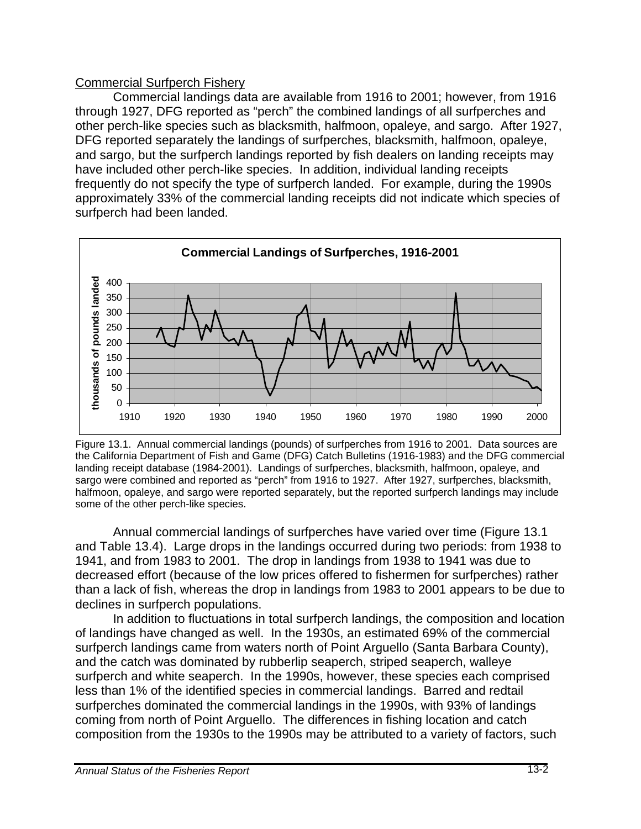## Commercial Surfperch Fishery

Commercial landings data are available from 1916 to 2001; however, from 1916 through 1927, DFG reported as "perch" the combined landings of all surfperches and other perch-like species such as blacksmith, halfmoon, opaleye, and sargo. After 1927, DFG reported separately the landings of surfperches, blacksmith, halfmoon, opaleye, and sargo, but the surfperch landings reported by fish dealers on landing receipts may have included other perch-like species. In addition, individual landing receipts frequently do not specify the type of surfperch landed. For example, during the 1990s approximately 33% of the commercial landing receipts did not indicate which species of surfperch had been landed.



 Figure 13.1. Annual commercial landings (pounds) of surfperches from 1916 to 2001. Data sources are the California Department of Fish and Game (DFG) Catch Bulletins (1916-1983) and the DFG commercial landing receipt database (1984-2001). Landings of surfperches, blacksmith, halfmoon, opaleye, and sargo were combined and reported as "perch" from 1916 to 1927. After 1927, surfperches, blacksmith, halfmoon, opaleye, and sargo were reported separately, but the reported surfperch landings may include some of the other perch-like species.

Annual commercial landings of surfperches have varied over time (Figure 13.1 and Table 13.4). Large drops in the landings occurred during two periods: from 1938 to 1941, and from 1983 to 2001. The drop in landings from 1938 to 1941 was due to decreased effort (because of the low prices offered to fishermen for surfperches) rather than a lack of fish, whereas the drop in landings from 1983 to 2001 appears to be due to declines in surfperch populations.

In addition to fluctuations in total surfperch landings, the composition and location of landings have changed as well. In the 1930s, an estimated 69% of the commercial surfperch landings came from waters north of Point Arguello (Santa Barbara County), and the catch was dominated by rubberlip seaperch, striped seaperch, walleye surfperch and white seaperch. In the 1990s, however, these species each comprised less than 1% of the identified species in commercial landings. Barred and redtail surfperches dominated the commercial landings in the 1990s, with 93% of landings coming from north of Point Arguello. The differences in fishing location and catch composition from the 1930s to the 1990s may be attributed to a variety of factors, such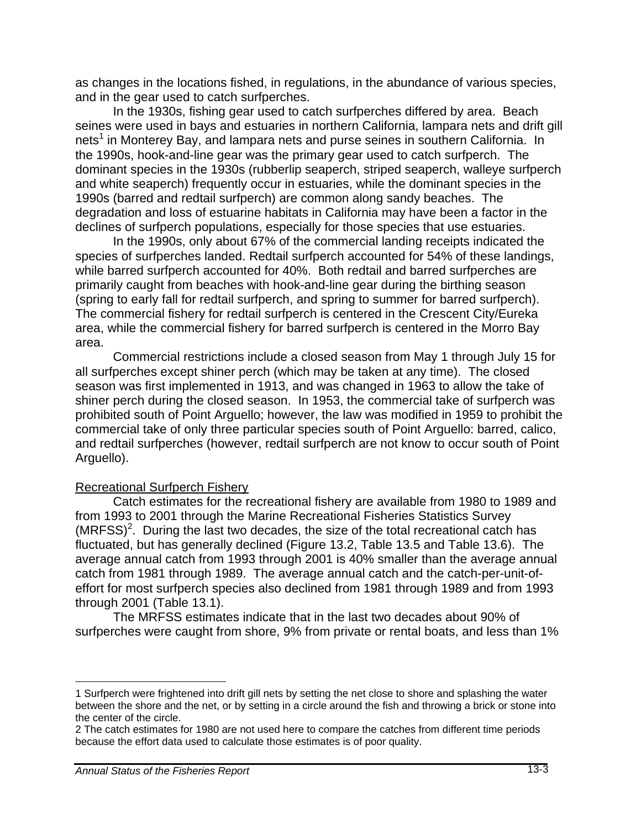as changes in the locations fished, in regulations, in the abundance of various species, and in the gear used to catch surfperches.

In the 1930s, fishing gear used to catch surfperches differed by area. Beach seines were used in bays and estuaries in northern California, lampara nets and drift gill nets<sup>1</sup> in Monterey Bay, and lampara nets and purse seines in southern California. In the 1990s, hook-and-line gear was the primary gear used to catch surfperch. The dominant species in the 1930s (rubberlip seaperch, striped seaperch, walleye surfperch and white seaperch) frequently occur in estuaries, while the dominant species in the 1990s (barred and redtail surfperch) are common along sandy beaches. The degradation and loss of estuarine habitats in California may have been a factor in the declines of surfperch populations, especially for those species that use estuaries.

In the 1990s, only about 67% of the commercial landing receipts indicated the species of surfperches landed. Redtail surfperch accounted for 54% of these landings, while barred surfperch accounted for 40%. Both redtail and barred surfperches are primarily caught from beaches with hook-and-line gear during the birthing season (spring to early fall for redtail surfperch, and spring to summer for barred surfperch). The commercial fishery for redtail surfperch is centered in the Crescent City/Eureka area, while the commercial fishery for barred surfperch is centered in the Morro Bay area.

Commercial restrictions include a closed season from May 1 through July 15 for all surfperches except shiner perch (which may be taken at any time). The closed season was first implemented in 1913, and was changed in 1963 to allow the take of shiner perch during the closed season. In 1953, the commercial take of surfperch was prohibited south of Point Arguello; however, the law was modified in 1959 to prohibit the commercial take of only three particular species south of Point Arguello: barred, calico, and redtail surfperches (however, redtail surfperch are not know to occur south of Point Arguello).

#### Recreational Surfperch Fishery

Catch estimates for the recreational fishery are available from 1980 to 1989 and from 1993 to 2001 through the Marine Recreational Fisheries Statistics Survey  $(MRFSS)<sup>2</sup>$ . During the last two decades, the size of the total recreational catch has fluctuated, but has generally declined (Figure 13.2, Table 13.5 and Table 13.6). The average annual catch from 1993 through 2001 is 40% smaller than the average annual catch from 1981 through 1989. The average annual catch and the catch-per-unit-ofeffort for most surfperch species also declined from 1981 through 1989 and from 1993 through 2001 (Table 13.1).

The MRFSS estimates indicate that in the last two decades about 90% of surfperches were caught from shore, 9% from private or rental boats, and less than 1%

 $\overline{a}$ 

<sup>1</sup> Surfperch were frightened into drift gill nets by setting the net close to shore and splashing the water between the shore and the net, or by setting in a circle around the fish and throwing a brick or stone into the center of the circle.

<sup>2</sup> The catch estimates for 1980 are not used here to compare the catches from different time periods because the effort data used to calculate those estimates is of poor quality.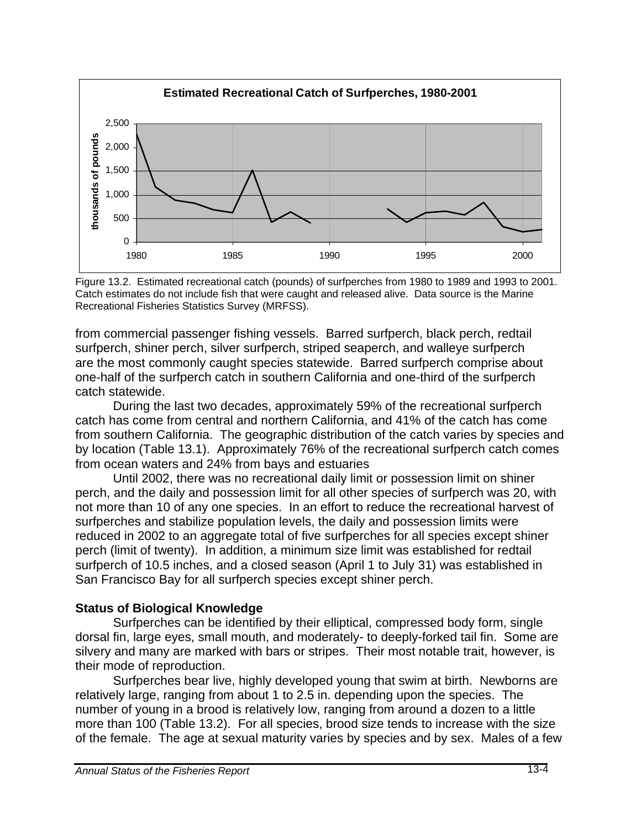

Figure 13.2. Estimated recreational catch (pounds) of surfperches from 1980 to 1989 and 1993 to 2001. Catch estimates do not include fish that were caught and released alive. Data source is the Marine Recreational Fisheries Statistics Survey (MRFSS).

from commercial passenger fishing vessels. Barred surfperch, black perch, redtail surfperch, shiner perch, silver surfperch, striped seaperch, and walleye surfperch are the most commonly caught species statewide. Barred surfperch comprise about one-half of the surfperch catch in southern California and one-third of the surfperch catch statewide.

During the last two decades, approximately 59% of the recreational surfperch catch has come from central and northern California, and 41% of the catch has come from southern California. The geographic distribution of the catch varies by species and by location (Table 13.1). Approximately 76% of the recreational surfperch catch comes from ocean waters and 24% from bays and estuaries

Until 2002, there was no recreational daily limit or possession limit on shiner perch, and the daily and possession limit for all other species of surfperch was 20, with not more than 10 of any one species. In an effort to reduce the recreational harvest of surfperches and stabilize population levels, the daily and possession limits were reduced in 2002 to an aggregate total of five surfperches for all species except shiner perch (limit of twenty). In addition, a minimum size limit was established for redtail surfperch of 10.5 inches, and a closed season (April 1 to July 31) was established in San Francisco Bay for all surfperch species except shiner perch.

#### **Status of Biological Knowledge**

Surfperches can be identified by their elliptical, compressed body form, single dorsal fin, large eyes, small mouth, and moderately- to deeply-forked tail fin. Some are silvery and many are marked with bars or stripes. Their most notable trait, however, is their mode of reproduction.

Surfperches bear live, highly developed young that swim at birth. Newborns are relatively large, ranging from about 1 to 2.5 in. depending upon the species. The number of young in a brood is relatively low, ranging from around a dozen to a little more than 100 (Table 13.2). For all species, brood size tends to increase with the size of the female. The age at sexual maturity varies by species and by sex. Males of a few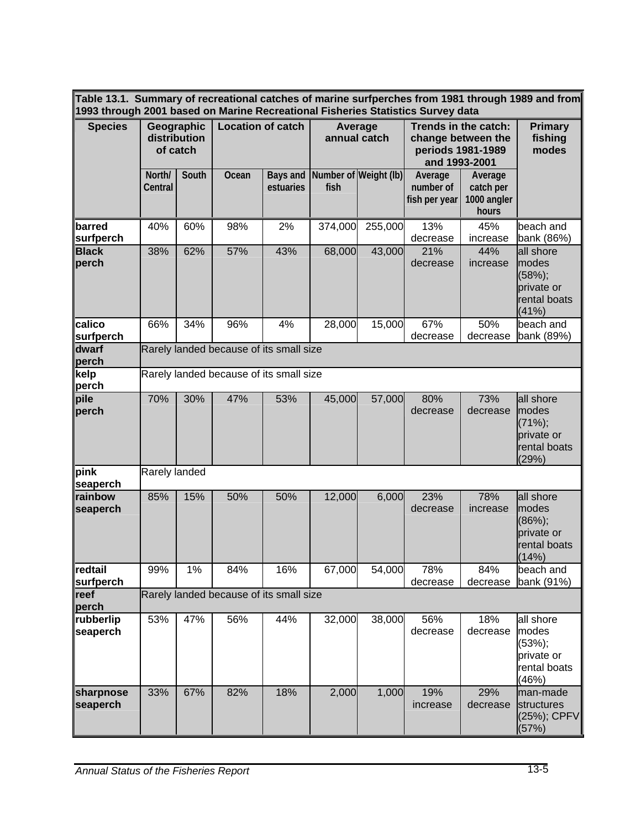**Table 13.1. Summary of recreational catches of marine surfperches from 1981 through 1989 and from 1993 through 2001 based on Marine Recreational Fisheries Statistics Survey data** 

| 1993 through 2001 based on Marine Recreational Fisheries Statistics Survey data |                                        |       |                                         |                       |                               |         |                                                                                  |                                              |                                                                        |
|---------------------------------------------------------------------------------|----------------------------------------|-------|-----------------------------------------|-----------------------|-------------------------------|---------|----------------------------------------------------------------------------------|----------------------------------------------|------------------------------------------------------------------------|
| <b>Species</b>                                                                  | Geographic<br>distribution<br>of catch |       | <b>Location of catch</b>                |                       | Average<br>annual catch       |         | Trends in the catch:<br>change between the<br>periods 1981-1989<br>and 1993-2001 | <b>Primary</b><br>fishing<br>modes           |                                                                        |
|                                                                                 | North/<br>Central                      | South | Ocean                                   | Bays and<br>estuaries | Number of Weight (lb)<br>fish |         | Average<br>number of<br>fish per year                                            | Average<br>catch per<br>1000 angler<br>hours |                                                                        |
| llbarred<br><b>surfperch</b>                                                    | 40%                                    | 60%   | 98%                                     | 2%                    | 374,000                       | 255,000 | 13%<br>decrease                                                                  | 45%<br>increase                              | beach and<br>bank (86%)                                                |
| <b>Black</b><br>$ $ perch                                                       | 38%                                    | 62%   | 57%                                     | 43%                   | 68,000                        | 43,000  | 21%<br>decrease                                                                  | 44%<br>increase                              | all shore<br>modes<br>$(58%)$ ;<br>private or<br>rental boats<br>(41%) |
| <b>calico</b><br>surfperch                                                      | 66%                                    | 34%   | 96%                                     | 4%                    | 28,000                        | 15,000  | 67%<br>decrease                                                                  | 50%<br>decrease                              | beach and<br>bank (89%)                                                |
| dwarf<br>perch                                                                  |                                        |       | Rarely landed because of its small size |                       |                               |         |                                                                                  |                                              |                                                                        |
| ∥kelp<br>∥perch                                                                 |                                        |       | Rarely landed because of its small size |                       |                               |         |                                                                                  |                                              |                                                                        |
| pile<br>perch                                                                   | 70%                                    | 30%   | 47%                                     | 53%                   | 45,000                        | 57,000  | 80%<br>decrease                                                                  | 73%<br>decrease                              | all shore<br>modes<br>$(71%)$ ;<br>private or<br>rental boats<br>(29%) |
| $\ $ pink<br>∥seaperch                                                          | Rarely landed                          |       |                                         |                       |                               |         |                                                                                  |                                              |                                                                        |
| <b>rainbow</b><br>seaperch                                                      | 85%                                    | 15%   | 50%                                     | 50%                   | 12,000                        | 6,000   | 23%<br>decrease                                                                  | 78%<br>increase                              | all shore<br>modes<br>$(86%)$ ;<br>private or<br>rental boats<br>(14%) |
| redtail<br>∥surtperch                                                           | 99%                                    | 1%    | 84%                                     | 16%                   | 67,000                        | 54,000  | 78%<br>decrease                                                                  | 84%<br>decrease                              | beach and<br>bank (91%)                                                |
| reef<br>∣perch                                                                  |                                        |       | Rarely landed because of its small size |                       |                               |         |                                                                                  |                                              |                                                                        |
| rubberlip<br>∥seaperch                                                          | 53%                                    | 47%   | 56%                                     | 44%                   | 32,000                        | 38,000  | 56%<br>decrease                                                                  | 18%<br>decrease                              | all shore<br>modes<br>$(53%)$ ;<br>private or<br>rental boats<br>(46%) |
| sharpnose<br>seaperch                                                           | 33%                                    | 67%   | 82%                                     | 18%                   | 2,000                         | 1,000   | 19%<br>increase                                                                  | 29%<br>decrease                              | lman-made<br>structures<br>$(25%)$ ; CPFV<br>(57%)                     |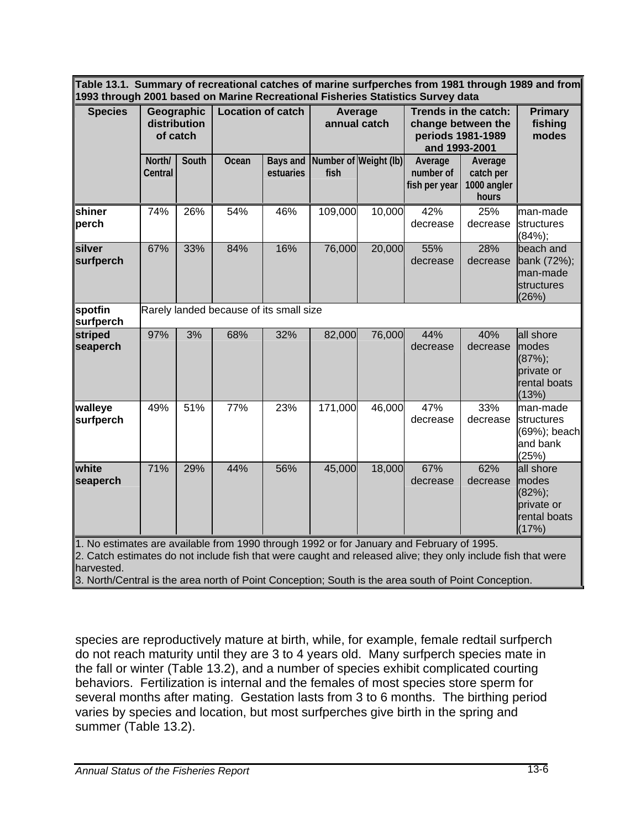**Table 13.1. Summary of recreational catches of marine surfperches from 1981 through 1989 and from 1993 through 2001 based on Marine Recreational Fisheries Statistics Survey data** 

| <b>Species</b>                                | Geographic<br>distribution<br>of catch |       | <b>Location of catch</b>                |                       | Average<br>annual catch |                       | Trends in the catch:<br>change between the<br>periods 1981-1989<br>and 1993-2001 |                                              | <b>Primary</b><br>fishing<br>modes                                     |
|-----------------------------------------------|----------------------------------------|-------|-----------------------------------------|-----------------------|-------------------------|-----------------------|----------------------------------------------------------------------------------|----------------------------------------------|------------------------------------------------------------------------|
|                                               | North/<br>Central                      | South | Ocean                                   | Bays and<br>estuaries | fish                    | Number of Weight (Ib) | Average<br>number of<br>fish per year                                            | Average<br>catch per<br>1000 angler<br>hours |                                                                        |
| <b>shiner</b><br>∥perch                       | 74%                                    | 26%   | 54%                                     | 46%                   | 109,000                 | 10,000                | 42%<br>decrease                                                                  | 25%<br>decrease                              | man-made<br>structures<br>$(84%)$ ;                                    |
| silver<br><b>surfperch</b>                    | 67%                                    | 33%   | 84%                                     | 16%                   | 76,000                  | 20,000                | 55%<br>decrease                                                                  | 28%<br>decrease                              | beach and<br>bank (72%);<br>lman-made<br>structures<br>(26%)           |
| $\sqrt{\mathsf{spotfin}}$<br><b>surfperch</b> |                                        |       | Rarely landed because of its small size |                       |                         |                       |                                                                                  |                                              |                                                                        |
| striped<br>seaperch                           | 97%                                    | 3%    | 68%                                     | 32%                   | 82,000                  | 76,000                | 44%<br>decrease                                                                  | 40%<br>decrease                              | all shore<br>modes<br>$(87%)$ ;<br>private or<br>rental boats<br>(13%) |
| walleye<br><b>surfperch</b>                   | 49%                                    | 51%   | 77%                                     | 23%                   | 171,000                 | 46,000                | 47%<br>decrease                                                                  | 33%<br>decrease                              | man-made<br>structures<br>$(69%)$ ; beach<br>and bank<br>(25%)         |
| white<br><b>seaperch</b>                      | 71%                                    | 29%   | 44%                                     | 56%                   | 45,000                  | 18,000                | 67%<br>decrease                                                                  | 62%<br>decrease                              | all shore<br>modes<br>$(82%)$ ;<br>private or<br>rental boats<br>(17%) |

1. No estimates are available from 1990 through 1992 or for January and February of 1995.

2. Catch estimates do not include fish that were caught and released alive; they only include fish that were harvested.

3. North/Central is the area north of Point Conception; South is the area south of Point Conception.

species are reproductively mature at birth, while, for example, female redtail surfperch do not reach maturity until they are 3 to 4 years old. Many surfperch species mate in the fall or winter (Table 13.2), and a number of species exhibit complicated courting behaviors. Fertilization is internal and the females of most species store sperm for several months after mating. Gestation lasts from 3 to 6 months. The birthing period varies by species and location, but most surfperches give birth in the spring and summer (Table 13.2).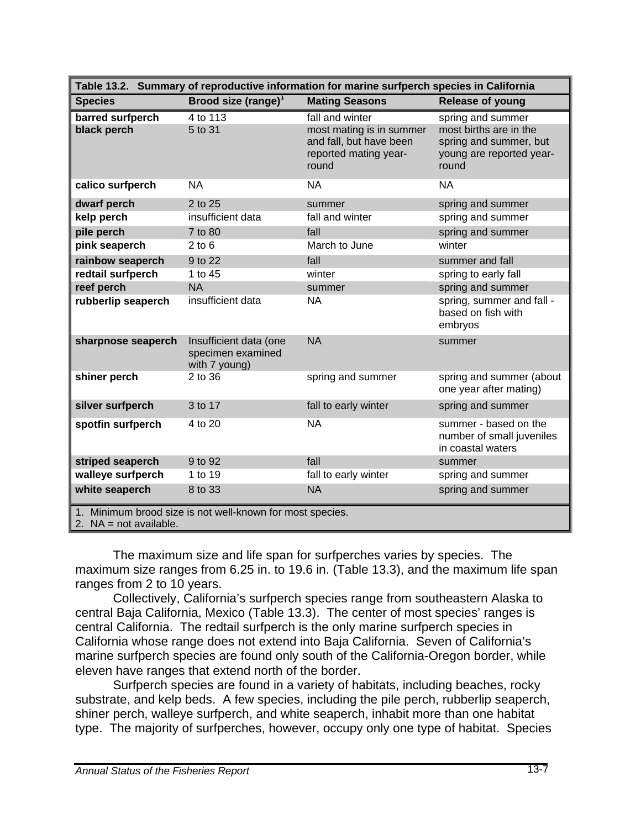| Table 13.2. Summary of reproductive information for marine surfperch species in California |                                                              |                                                                                                          |                                                                                                            |  |  |  |  |  |  |
|--------------------------------------------------------------------------------------------|--------------------------------------------------------------|----------------------------------------------------------------------------------------------------------|------------------------------------------------------------------------------------------------------------|--|--|--|--|--|--|
| <b>Species</b>                                                                             | Brood size (range) $1$                                       | <b>Mating Seasons</b>                                                                                    | <b>Release of young</b>                                                                                    |  |  |  |  |  |  |
| barred surfperch<br>black perch                                                            | 4 to 113<br>5 to 31                                          | fall and winter<br>most mating is in summer<br>and fall, but have been<br>reported mating year-<br>round | spring and summer<br>most births are in the<br>spring and summer, but<br>young are reported year-<br>round |  |  |  |  |  |  |
| calico surfperch                                                                           | <b>NA</b>                                                    | <b>NA</b>                                                                                                | <b>NA</b>                                                                                                  |  |  |  |  |  |  |
| dwarf perch                                                                                | 2 to 25                                                      | summer                                                                                                   | spring and summer                                                                                          |  |  |  |  |  |  |
| kelp perch                                                                                 | insufficient data                                            | fall and winter                                                                                          | spring and summer                                                                                          |  |  |  |  |  |  |
| pile perch                                                                                 | 7 to 80                                                      | fall                                                                                                     | spring and summer                                                                                          |  |  |  |  |  |  |
| pink seaperch                                                                              | $2$ to $6$                                                   | March to June                                                                                            | winter                                                                                                     |  |  |  |  |  |  |
| rainbow seaperch                                                                           | 9 to 22                                                      | fall                                                                                                     | summer and fall                                                                                            |  |  |  |  |  |  |
| redtail surfperch                                                                          | 1 to 45                                                      | winter                                                                                                   | spring to early fall                                                                                       |  |  |  |  |  |  |
| reef perch                                                                                 | <b>NA</b>                                                    | summer                                                                                                   | spring and summer                                                                                          |  |  |  |  |  |  |
| rubberlip seaperch                                                                         | insufficient data                                            | <b>NA</b>                                                                                                | spring, summer and fall -<br>based on fish with<br>embryos                                                 |  |  |  |  |  |  |
| sharpnose seaperch                                                                         | Insufficient data (one<br>specimen examined<br>with 7 young) | <b>NA</b>                                                                                                | summer                                                                                                     |  |  |  |  |  |  |
| shiner perch                                                                               | 2 to 36                                                      | spring and summer                                                                                        | spring and summer (about<br>one year after mating)                                                         |  |  |  |  |  |  |
| silver surfperch                                                                           | 3 to 17                                                      | fall to early winter                                                                                     | spring and summer                                                                                          |  |  |  |  |  |  |
| spotfin surfperch                                                                          | 4 to 20                                                      | <b>NA</b>                                                                                                | summer - based on the<br>number of small juveniles<br>in coastal waters                                    |  |  |  |  |  |  |
| striped seaperch                                                                           | 9 to 92                                                      | fall                                                                                                     | summer                                                                                                     |  |  |  |  |  |  |
| walleye surfperch                                                                          | 1 to 19                                                      | fall to early winter                                                                                     | spring and summer                                                                                          |  |  |  |  |  |  |
| white seaperch                                                                             | 8 to 33                                                      | <b>NA</b>                                                                                                | spring and summer                                                                                          |  |  |  |  |  |  |
| 1. Minimum brood size is not well-known for most species.<br>2. $NA = not available$ .     |                                                              |                                                                                                          |                                                                                                            |  |  |  |  |  |  |

The maximum size and life span for surfperches varies by species. The maximum size ranges from 6.25 in. to 19.6 in. (Table 13.3), and the maximum life span ranges from 2 to 10 years.

Collectively, California's surfperch species range from southeastern Alaska to central Baja California, Mexico (Table 13.3). The center of most species' ranges is central California. The redtail surfperch is the only marine surfperch species in California whose range does not extend into Baja California. Seven of California's marine surfperch species are found only south of the California-Oregon border, while eleven have ranges that extend north of the border.

Surfperch species are found in a variety of habitats, including beaches, rocky substrate, and kelp beds. A few species, including the pile perch, rubberlip seaperch, shiner perch, walleye surfperch, and white seaperch, inhabit more than one habitat type. The majority of surfperches, however, occupy only one type of habitat. Species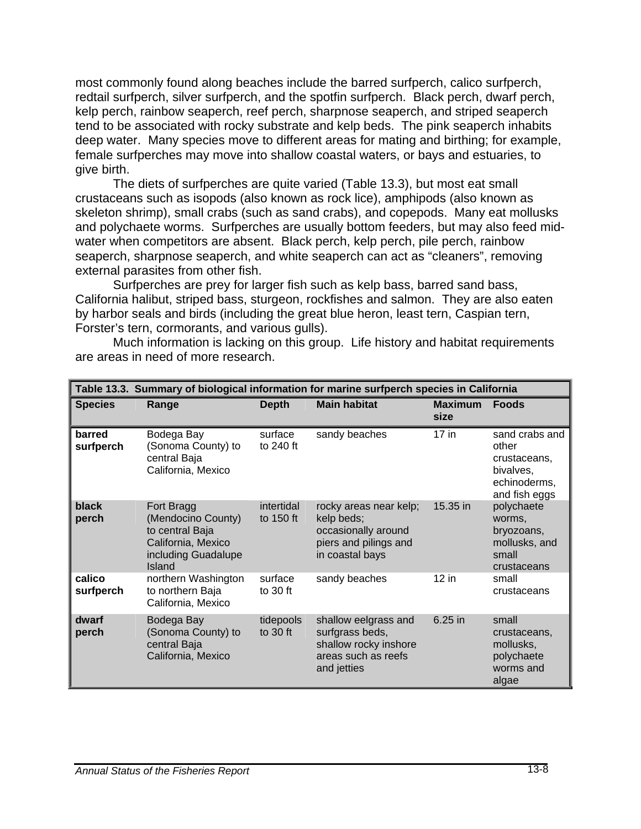most commonly found along beaches include the barred surfperch, calico surfperch, redtail surfperch, silver surfperch, and the spotfin surfperch. Black perch, dwarf perch, kelp perch, rainbow seaperch, reef perch, sharpnose seaperch, and striped seaperch tend to be associated with rocky substrate and kelp beds. The pink seaperch inhabits deep water. Many species move to different areas for mating and birthing; for example, female surfperches may move into shallow coastal waters, or bays and estuaries, to give birth.

The diets of surfperches are quite varied (Table 13.3), but most eat small crustaceans such as isopods (also known as rock lice), amphipods (also known as skeleton shrimp), small crabs (such as sand crabs), and copepods. Many eat mollusks and polychaete worms. Surfperches are usually bottom feeders, but may also feed midwater when competitors are absent. Black perch, kelp perch, pile perch, rainbow seaperch, sharpnose seaperch, and white seaperch can act as "cleaners", removing external parasites from other fish.

Surfperches are prey for larger fish such as kelp bass, barred sand bass, California halibut, striped bass, sturgeon, rockfishes and salmon. They are also eaten by harbor seals and birds (including the great blue heron, least tern, Caspian tern, Forster's tern, cormorants, and various gulls).

Much information is lacking on this group. Life history and habitat requirements are areas in need of more research.

|                     |                                                                                                            |                         | Table 13.3. Summary of biological information for marine surfperch species in California                |                        |                                                                                       |
|---------------------|------------------------------------------------------------------------------------------------------------|-------------------------|---------------------------------------------------------------------------------------------------------|------------------------|---------------------------------------------------------------------------------------|
| <b>Species</b>      | Range                                                                                                      | <b>Depth</b>            | <b>Main habitat</b>                                                                                     | <b>Maximum</b><br>size | <b>Foods</b>                                                                          |
| barred<br>surfperch | Bodega Bay<br>(Sonoma County) to<br>central Baja<br>California, Mexico                                     | surface<br>to 240 ft    | sandy beaches                                                                                           | $17$ in                | sand crabs and<br>other<br>crustaceans,<br>bivalves,<br>echinoderms,<br>and fish eggs |
| black<br>perch      | Fort Bragg<br>(Mendocino County)<br>to central Baja<br>California, Mexico<br>including Guadalupe<br>Island | intertidal<br>to 150 ft | rocky areas near kelp;<br>kelp beds;<br>occasionally around<br>piers and pilings and<br>in coastal bays | 15.35 in               | polychaete<br>worms,<br>bryozoans,<br>mollusks, and<br>small<br>crustaceans           |
| calico<br>surfperch | northern Washington<br>to northern Baja<br>California, Mexico                                              | surface<br>to $30$ ft   | sandy beaches                                                                                           | $12$ in                | small<br>crustaceans                                                                  |
| dwarf<br>perch      | Bodega Bay<br>(Sonoma County) to<br>central Baja<br>California, Mexico                                     | tidepools<br>to $30$ ft | shallow eelgrass and<br>surfgrass beds,<br>shallow rocky inshore<br>areas such as reefs<br>and jetties  | 6.25 in                | small<br>crustaceans,<br>mollusks,<br>polychaete<br>worms and<br>algae                |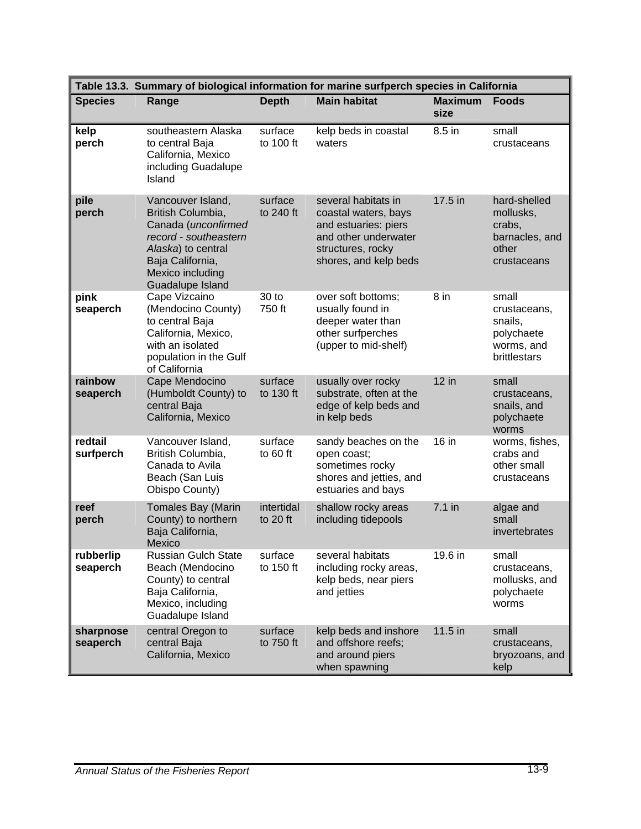|                       | Table 13.3. Summary of biological information for marine surfperch species in California                                                                                 |                        |                                                                                                                                           |                        |                                                                               |  |  |  |  |
|-----------------------|--------------------------------------------------------------------------------------------------------------------------------------------------------------------------|------------------------|-------------------------------------------------------------------------------------------------------------------------------------------|------------------------|-------------------------------------------------------------------------------|--|--|--|--|
| <b>Species</b>        | Range                                                                                                                                                                    | <b>Depth</b>           | <b>Main habitat</b>                                                                                                                       | <b>Maximum</b><br>size | <b>Foods</b>                                                                  |  |  |  |  |
| kelp<br>perch         | southeastern Alaska<br>to central Baja<br>California, Mexico<br>including Guadalupe<br>Island                                                                            | surface<br>to 100 ft   | kelp beds in coastal<br>waters                                                                                                            | 8.5 in                 | small<br>crustaceans                                                          |  |  |  |  |
| pile<br>perch         | Vancouver Island,<br>British Columbia,<br>Canada (unconfirmed<br>record - southeastern<br>Alaska) to central<br>Baja California,<br>Mexico including<br>Guadalupe Island | surface<br>to 240 ft   | several habitats in<br>coastal waters, bays<br>and estuaries: piers<br>and other underwater<br>structures, rocky<br>shores, and kelp beds | 17.5 in                | hard-shelled<br>mollusks,<br>crabs,<br>barnacles, and<br>other<br>crustaceans |  |  |  |  |
| pink<br>seaperch      | Cape Vizcaino<br>(Mendocino County)<br>to central Baja<br>California, Mexico,<br>with an isolated<br>population in the Gulf<br>of California                             | 30 to<br>750 ft        | over soft bottoms;<br>usually found in<br>deeper water than<br>other surfperches<br>(upper to mid-shelf)                                  | $8$ in                 | small<br>crustaceans,<br>snails,<br>polychaete<br>worms, and<br>brittlestars  |  |  |  |  |
| rainbow<br>seaperch   | Cape Mendocino<br>(Humboldt County) to<br>central Baja<br>California, Mexico                                                                                             | surface<br>to 130 ft   | usually over rocky<br>substrate, often at the<br>edge of kelp beds and<br>in kelp beds                                                    | 12 in                  | small<br>crustaceans,<br>snails, and<br>polychaete<br>worms                   |  |  |  |  |
| redtail<br>surfperch  | Vancouver Island,<br>British Columbia,<br>Canada to Avila<br>Beach (San Luis<br>Obispo County)                                                                           | surface<br>to 60 ft    | sandy beaches on the<br>open coast;<br>sometimes rocky<br>shores and jetties, and<br>estuaries and bays                                   | 16 in                  | worms, fishes,<br>crabs and<br>other small<br>crustaceans                     |  |  |  |  |
| reef<br>perch         | <b>Tomales Bay (Marin</b><br>County) to northern<br>Baja California,<br>Mexico                                                                                           | intertidal<br>to 20 ft | shallow rocky areas<br>including tidepools                                                                                                | $7.1$ in               | algae and<br>small<br>invertebrates                                           |  |  |  |  |
| rubberlip<br>seaperch | <b>Russian Gulch State</b><br>Beach (Mendocino<br>County) to central<br>Baja California,<br>Mexico, including<br>Guadalupe Island                                        | surface<br>to 150 ft   | several habitats<br>including rocky areas,<br>kelp beds, near piers<br>and jetties                                                        | 19.6 in                | small<br>crustaceans,<br>mollusks, and<br>polychaete<br>worms                 |  |  |  |  |
| sharpnose<br>seaperch | central Oregon to<br>central Baja<br>California, Mexico                                                                                                                  | surface<br>to 750 ft   | kelp beds and inshore<br>and offshore reefs;<br>and around piers<br>when spawning                                                         | 11.5 in                | small<br>crustaceans,<br>bryozoans, and<br>kelp                               |  |  |  |  |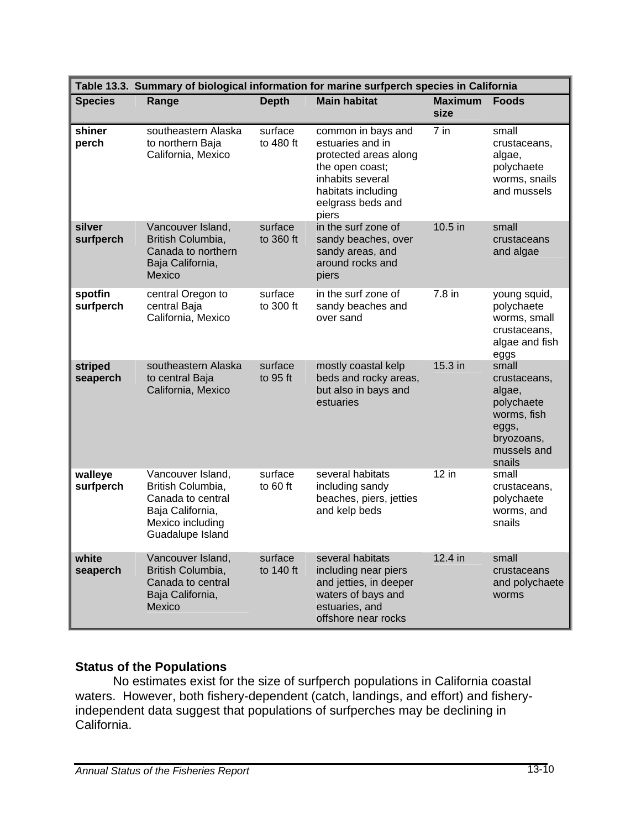|                      | Table 13.3. Summary of biological information for marine surfperch species in California                                |                       |                                                                                                                                                            |                        |                                                                                                              |  |  |  |  |  |
|----------------------|-------------------------------------------------------------------------------------------------------------------------|-----------------------|------------------------------------------------------------------------------------------------------------------------------------------------------------|------------------------|--------------------------------------------------------------------------------------------------------------|--|--|--|--|--|
| <b>Species</b>       | Range                                                                                                                   | <b>Depth</b>          | <b>Main habitat</b>                                                                                                                                        | <b>Maximum</b><br>size | <b>Foods</b>                                                                                                 |  |  |  |  |  |
| shiner<br>perch      | southeastern Alaska<br>to northern Baja<br>California, Mexico                                                           | surface<br>to 480 ft  | common in bays and<br>estuaries and in<br>protected areas along<br>the open coast;<br>inhabits several<br>habitats including<br>eelgrass beds and<br>piers | 7 in                   | small<br>crustaceans,<br>algae,<br>polychaete<br>worms, snails<br>and mussels                                |  |  |  |  |  |
| silver<br>surfperch  | Vancouver Island,<br>British Columbia,<br>Canada to northern<br>Baja California,<br>Mexico                              | surface<br>to 360 ft  | in the surf zone of<br>sandy beaches, over<br>sandy areas, and<br>around rocks and<br>piers                                                                | 10.5 in                | small<br>crustaceans<br>and algae                                                                            |  |  |  |  |  |
| spotfin<br>surfperch | central Oregon to<br>central Baja<br>California, Mexico                                                                 | surface<br>to 300 ft  | in the surf zone of<br>sandy beaches and<br>over sand                                                                                                      | 7.8 in                 | young squid,<br>polychaete<br>worms, small<br>crustaceans,<br>algae and fish<br>eggs                         |  |  |  |  |  |
| striped<br>seaperch  | southeastern Alaska<br>to central Baja<br>California, Mexico                                                            | surface<br>to $95$ ft | mostly coastal kelp<br>beds and rocky areas,<br>but also in bays and<br>estuaries                                                                          | 15.3 in                | small<br>crustaceans,<br>algae,<br>polychaete<br>worms, fish<br>eggs,<br>bryozoans,<br>mussels and<br>snails |  |  |  |  |  |
| walleye<br>surfperch | Vancouver Island,<br>British Columbia,<br>Canada to central<br>Baja California,<br>Mexico including<br>Guadalupe Island | surface<br>to $60$ ft | several habitats<br>including sandy<br>beaches, piers, jetties<br>and kelp beds                                                                            | $12$ in                | small<br>crustaceans,<br>polychaete<br>worms, and<br>snails                                                  |  |  |  |  |  |
| white<br>seaperch    | Vancouver Island,<br>British Columbia,<br>Canada to central<br>Baja California,<br>Mexico                               | surface<br>to 140 ft  | several habitats<br>including near piers<br>and jetties, in deeper<br>waters of bays and<br>estuaries, and<br>offshore near rocks                          | 12.4 in                | small<br>crustaceans<br>and polychaete<br>worms                                                              |  |  |  |  |  |

# **Status of the Populations**

 No estimates exist for the size of surfperch populations in California coastal waters. However, both fishery-dependent (catch, landings, and effort) and fisheryindependent data suggest that populations of surfperches may be declining in California.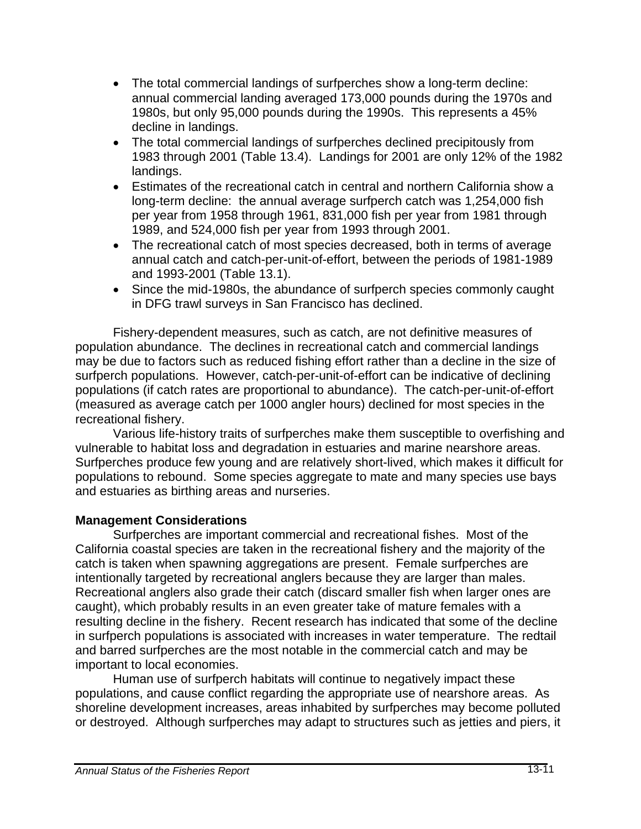- The total commercial landings of surfperches show a long-term decline: annual commercial landing averaged 173,000 pounds during the 1970s and 1980s, but only 95,000 pounds during the 1990s. This represents a 45% decline in landings.
- The total commercial landings of surfperches declined precipitously from 1983 through 2001 (Table 13.4). Landings for 2001 are only 12% of the 1982 landings.
- Estimates of the recreational catch in central and northern California show a long-term decline: the annual average surfperch catch was 1,254,000 fish per year from 1958 through 1961, 831,000 fish per year from 1981 through 1989, and 524,000 fish per year from 1993 through 2001.
- The recreational catch of most species decreased, both in terms of average annual catch and catch-per-unit-of-effort, between the periods of 1981-1989 and 1993-2001 (Table 13.1).
- Since the mid-1980s, the abundance of surfperch species commonly caught in DFG trawl surveys in San Francisco has declined.

 Fishery-dependent measures, such as catch, are not definitive measures of population abundance. The declines in recreational catch and commercial landings may be due to factors such as reduced fishing effort rather than a decline in the size of surfperch populations. However, catch-per-unit-of-effort can be indicative of declining populations (if catch rates are proportional to abundance). The catch-per-unit-of-effort (measured as average catch per 1000 angler hours) declined for most species in the recreational fishery.

 Various life-history traits of surfperches make them susceptible to overfishing and vulnerable to habitat loss and degradation in estuaries and marine nearshore areas. Surfperches produce few young and are relatively short-lived, which makes it difficult for populations to rebound. Some species aggregate to mate and many species use bays and estuaries as birthing areas and nurseries.

### **Management Considerations**

Surfperches are important commercial and recreational fishes. Most of the California coastal species are taken in the recreational fishery and the majority of the catch is taken when spawning aggregations are present. Female surfperches are intentionally targeted by recreational anglers because they are larger than males. Recreational anglers also grade their catch (discard smaller fish when larger ones are caught), which probably results in an even greater take of mature females with a resulting decline in the fishery. Recent research has indicated that some of the decline in surfperch populations is associated with increases in water temperature. The redtail and barred surfperches are the most notable in the commercial catch and may be important to local economies.

Human use of surfperch habitats will continue to negatively impact these populations, and cause conflict regarding the appropriate use of nearshore areas. As shoreline development increases, areas inhabited by surfperches may become polluted or destroyed. Although surfperches may adapt to structures such as jetties and piers, it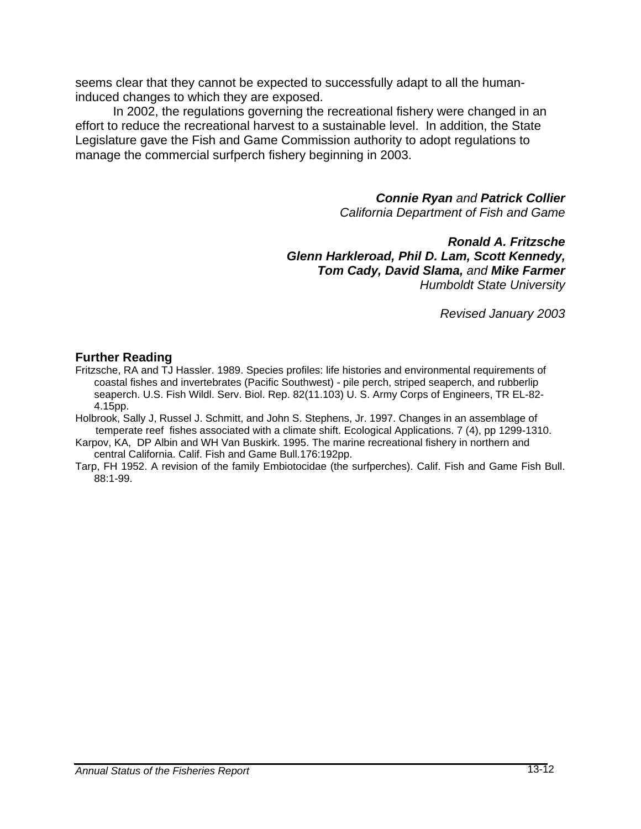seems clear that they cannot be expected to successfully adapt to all the humaninduced changes to which they are exposed.

In 2002, the regulations governing the recreational fishery were changed in an effort to reduce the recreational harvest to a sustainable level. In addition, the State Legislature gave the Fish and Game Commission authority to adopt regulations to manage the commercial surfperch fishery beginning in 2003.

> *Connie Ryan and Patrick Collier California Department of Fish and Game*

*Ronald A. Fritzsche Glenn Harkleroad, Phil D. Lam, Scott Kennedy, Tom Cady, David Slama, and Mike Farmer Humboldt State University* 

*Revised January 2003* 

#### **Further Reading**

Fritzsche, RA and TJ Hassler. 1989. Species profiles: life histories and environmental requirements of coastal fishes and invertebrates (Pacific Southwest) - pile perch, striped seaperch, and rubberlip seaperch. U.S. Fish Wildl. Serv. Biol. Rep. 82(11.103) U. S. Army Corps of Engineers, TR EL-82- 4.15pp.

Holbrook, Sally J, Russel J. Schmitt, and John S. Stephens, Jr. 1997. Changes in an assemblage of temperate reef fishes associated with a climate shift. Ecological Applications. 7 (4), pp 1299-1310.

Karpov, KA, DP Albin and WH Van Buskirk. 1995. The marine recreational fishery in northern and central California. Calif. Fish and Game Bull.176:192pp.

Tarp, FH 1952. A revision of the family Embiotocidae (the surfperches). Calif. Fish and Game Fish Bull. 88:1-99.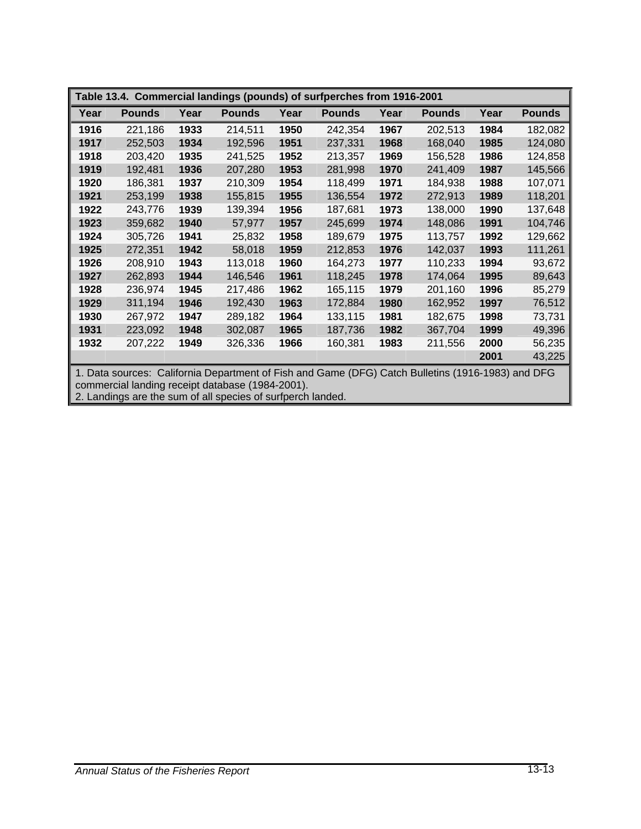| Table 13.4. Commercial landings (pounds) of surfperches from 1916-2001                                                                                                                                               |               |      |               |      |               |      |               |      |               |
|----------------------------------------------------------------------------------------------------------------------------------------------------------------------------------------------------------------------|---------------|------|---------------|------|---------------|------|---------------|------|---------------|
| Year                                                                                                                                                                                                                 | <b>Pounds</b> | Year | <b>Pounds</b> | Year | <b>Pounds</b> | Year | <b>Pounds</b> | Year | <b>Pounds</b> |
| 1916                                                                                                                                                                                                                 | 221,186       | 1933 | 214,511       | 1950 | 242,354       | 1967 | 202,513       | 1984 | 182,082       |
| 1917                                                                                                                                                                                                                 | 252,503       | 1934 | 192,596       | 1951 | 237,331       | 1968 | 168,040       | 1985 | 124,080       |
| 1918                                                                                                                                                                                                                 | 203,420       | 1935 | 241,525       | 1952 | 213,357       | 1969 | 156,528       | 1986 | 124,858       |
| 1919                                                                                                                                                                                                                 | 192,481       | 1936 | 207,280       | 1953 | 281,998       | 1970 | 241,409       | 1987 | 145,566       |
| 1920                                                                                                                                                                                                                 | 186,381       | 1937 | 210,309       | 1954 | 118,499       | 1971 | 184,938       | 1988 | 107,071       |
| 1921                                                                                                                                                                                                                 | 253,199       | 1938 | 155,815       | 1955 | 136,554       | 1972 | 272,913       | 1989 | 118,201       |
| 1922                                                                                                                                                                                                                 | 243,776       | 1939 | 139,394       | 1956 | 187,681       | 1973 | 138,000       | 1990 | 137,648       |
| 1923                                                                                                                                                                                                                 | 359,682       | 1940 | 57,977        | 1957 | 245,699       | 1974 | 148,086       | 1991 | 104,746       |
| 1924                                                                                                                                                                                                                 | 305,726       | 1941 | 25,832        | 1958 | 189,679       | 1975 | 113,757       | 1992 | 129,662       |
| 1925                                                                                                                                                                                                                 | 272,351       | 1942 | 58,018        | 1959 | 212,853       | 1976 | 142,037       | 1993 | 111,261       |
| 1926                                                                                                                                                                                                                 | 208,910       | 1943 | 113,018       | 1960 | 164,273       | 1977 | 110,233       | 1994 | 93,672        |
| 1927                                                                                                                                                                                                                 | 262,893       | 1944 | 146,546       | 1961 | 118,245       | 1978 | 174,064       | 1995 | 89,643        |
| 1928                                                                                                                                                                                                                 | 236,974       | 1945 | 217,486       | 1962 | 165,115       | 1979 | 201,160       | 1996 | 85,279        |
| 1929                                                                                                                                                                                                                 | 311,194       | 1946 | 192,430       | 1963 | 172,884       | 1980 | 162,952       | 1997 | 76,512        |
| 1930                                                                                                                                                                                                                 | 267,972       | 1947 | 289,182       | 1964 | 133,115       | 1981 | 182,675       | 1998 | 73,731        |
| 1931                                                                                                                                                                                                                 | 223,092       | 1948 | 302,087       | 1965 | 187,736       | 1982 | 367,704       | 1999 | 49,396        |
| 1932                                                                                                                                                                                                                 | 207,222       | 1949 | 326,336       | 1966 | 160,381       | 1983 | 211,556       | 2000 | 56,235        |
|                                                                                                                                                                                                                      |               |      |               |      |               |      |               | 2001 | 43,225        |
| 1. Data sources: California Department of Fish and Game (DFG) Catch Bulletins (1916-1983) and DFG<br>commercial landing receipt database (1984-2001).<br>2. Landings are the sum of all species of surfperch landed. |               |      |               |      |               |      |               |      |               |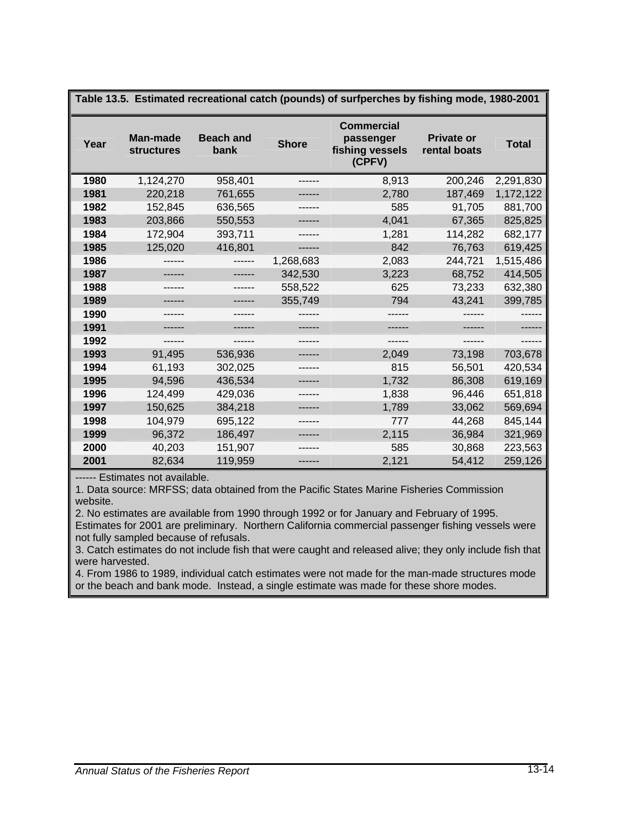| Table 13.5. Estimated recreational catch (pounds) of surfperches by fishing mode, 1980-2001 |                                      |                          |              |                                                             |                                   |              |  |  |  |  |
|---------------------------------------------------------------------------------------------|--------------------------------------|--------------------------|--------------|-------------------------------------------------------------|-----------------------------------|--------------|--|--|--|--|
| Year                                                                                        | <b>Man-made</b><br><b>structures</b> | <b>Beach and</b><br>bank | <b>Shore</b> | <b>Commercial</b><br>passenger<br>fishing vessels<br>(CPFV) | <b>Private or</b><br>rental boats | <b>Total</b> |  |  |  |  |
| 1980                                                                                        | 1,124,270                            | 958,401                  |              | 8,913                                                       | 200,246                           | 2,291,830    |  |  |  |  |
| 1981                                                                                        | 220,218                              | 761,655                  |              | 2,780                                                       | 187,469                           | 1,172,122    |  |  |  |  |
| 1982                                                                                        | 152,845                              | 636,565                  |              | 585                                                         | 91,705                            | 881,700      |  |  |  |  |
| 1983                                                                                        | 203,866                              | 550,553                  |              | 4,041                                                       | 67,365                            | 825,825      |  |  |  |  |
| 1984                                                                                        | 172,904                              | 393,711                  |              | 1,281                                                       | 114,282                           | 682,177      |  |  |  |  |
| 1985                                                                                        | 125,020                              | 416,801                  | ------       | 842                                                         | 76,763                            | 619,425      |  |  |  |  |
| 1986                                                                                        |                                      |                          | 1,268,683    | 2,083                                                       | 244,721                           | 1,515,486    |  |  |  |  |
| 1987                                                                                        |                                      |                          | 342,530      | 3,223                                                       | 68,752                            | 414,505      |  |  |  |  |
| 1988                                                                                        | ------                               | ------                   | 558,522      | 625                                                         | 73,233                            | 632,380      |  |  |  |  |
| 1989                                                                                        |                                      |                          | 355,749      | 794                                                         | 43,241                            | 399,785      |  |  |  |  |
| 1990                                                                                        |                                      |                          |              |                                                             |                                   |              |  |  |  |  |
| 1991                                                                                        |                                      |                          | ------       | ------                                                      |                                   |              |  |  |  |  |
| 1992                                                                                        |                                      |                          |              |                                                             |                                   |              |  |  |  |  |
| 1993                                                                                        | 91,495                               | 536,936                  |              | 2,049                                                       | 73,198                            | 703,678      |  |  |  |  |
| 1994                                                                                        | 61,193                               | 302,025                  |              | 815                                                         | 56,501                            | 420,534      |  |  |  |  |
| 1995                                                                                        | 94,596                               | 436,534                  |              | 1,732                                                       | 86,308                            | 619,169      |  |  |  |  |
| 1996                                                                                        | 124,499                              | 429,036                  |              | 1,838                                                       | 96,446                            | 651,818      |  |  |  |  |
| 1997                                                                                        | 150,625                              | 384,218                  |              | 1,789                                                       | 33,062                            | 569,694      |  |  |  |  |
| 1998                                                                                        | 104,979                              | 695,122                  |              | 777                                                         | 44,268                            | 845,144      |  |  |  |  |
| 1999                                                                                        | 96,372                               | 186,497                  |              | 2,115                                                       | 36,984                            | 321,969      |  |  |  |  |
| 2000                                                                                        | 40,203                               | 151,907                  |              | 585                                                         | 30,868                            | 223,563      |  |  |  |  |
| 2001                                                                                        | 82,634                               | 119,959                  | ------       | 2,121                                                       | 54,412                            | 259,126      |  |  |  |  |

------ Estimates not available.

1. Data source: MRFSS; data obtained from the Pacific States Marine Fisheries Commission website.

2. No estimates are available from 1990 through 1992 or for January and February of 1995. Estimates for 2001 are preliminary. Northern California commercial passenger fishing vessels were

not fully sampled because of refusals.

3. Catch estimates do not include fish that were caught and released alive; they only include fish that were harvested.

4. From 1986 to 1989, individual catch estimates were not made for the man-made structures mode or the beach and bank mode. Instead, a single estimate was made for these shore modes.